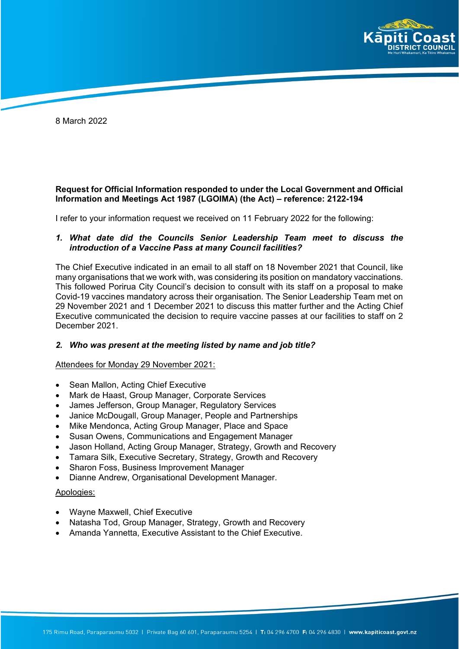

8 March 2022

# **Request for Official Information responded to under the Local Government and Official Information and Meetings Act 1987 (LGOIMA) (the Act) – reference: 2122-194**

I refer to your information request we received on 11 February 2022 for the following:

# *1. What date did the Councils Senior Leadership Team meet to discuss the introduction of a Vaccine Pass at many Council facilities?*

The Chief Executive indicated in an email to all staff on 18 November 2021 that Council, like many organisations that we work with, was considering its position on mandatory vaccinations. This followed Porirua City Council's decision to consult with its staff on a proposal to make Covid-19 vaccines mandatory across their organisation. The Senior Leadership Team met on 29 November 2021 and 1 December 2021 to discuss this matter further and the Acting Chief Executive communicated the decision to require vaccine passes at our facilities to staff on 2 December 2021.

# *2. Who was present at the meeting listed by name and job title?*

#### Attendees for Monday 29 November 2021:

- Sean Mallon, Acting Chief Executive
- Mark de Haast, Group Manager, Corporate Services
- James Jefferson, Group Manager, Regulatory Services
- Janice McDougall, Group Manager, People and Partnerships
- Mike Mendonca, Acting Group Manager, Place and Space
- Susan Owens, Communications and Engagement Manager
- Jason Holland, Acting Group Manager, Strategy, Growth and Recovery
- Tamara Silk, Executive Secretary, Strategy, Growth and Recovery
- Sharon Foss, Business Improvement Manager
- Dianne Andrew, Organisational Development Manager.

#### Apologies:

- Wayne Maxwell, Chief Executive
- Natasha Tod, Group Manager, Strategy, Growth and Recovery
- Amanda Yannetta, Executive Assistant to the Chief Executive.